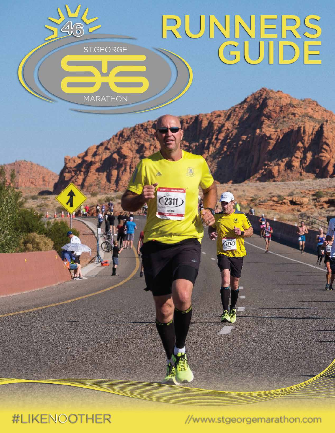

**#LIKENOOTHER** 

//www.stgeorgemarathon.com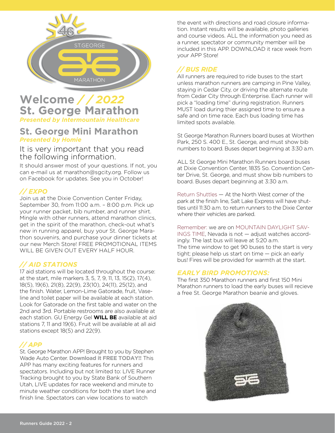

## **Welcome** */ / 2022* **St. George Marathon** *Presented by Intermountain Healthcare*

### **St. George Mini Marathon** *Presented by Homie*

It is very important that you read the following information.

It should answer most of your questions. If not, you can e-mail us at marathon@sgcity.org. Follow us on Facebook for updates. See you in October!

### *// EXPO*

Join us at the Dixie Convention Center Friday, September 30, from 11:00 a.m. – 8:00 p.m. Pick up your runner packet, bib number, and runner shirt. Mingle with other runners, attend marathon clinics, get in the spirit of the marathon, check-out what's new in running apparel, buy your St. George Marathon souvenirs, and purchase your dinner tickets at our new Merch Store! FREE PROMOTIONAL ITEMS WILL BE GIVEN OUT EVERY HALF HOUR.

### *// AID STATIONS*

17 aid stations will be located throughout the course: at the start, mile markers 3, 5, 7, 9, 11, 13, 15(2), 17(4), 18(5), 19(6), 21(8), 22(9), 23(10), 24(11), 25(12), and the finish. Water, Lemon-Lime Gatorade, fruit, Vaseline and toilet paper will be available at each station. Look for Gatorade on the first table and water on the 2nd and 3rd. Portable restrooms are also available at each station. GU Energy Gel **WILL BE** available at aid stations 7, 11 and 19(6). Fruit will be available at all aid stations except 18(5) and 22(9).

### *// APP*

St. George Marathon APP! Brought to you by Stephen Wade Auto Center. **Download it FREE TODAY!!** This APP has many exciting features for runners and spectators. Including but not limited to: LIVE Runner Tracking brought to you by State Bank of Southern Utah, LIVE updates for race weekend and minute to minute weather conditions for both the start line and finish line. Spectators can view locations to watch

the event with directions and road closure information. Instant results will be available, photo galleries and course videos. ALL the information you need as a runner, spectator or community member will be included in this APP. DOWNLOAD it race week from your APP Store!

### *// BUS RIDE*

All runners are required to ride buses to the start unless marathon runners are camping in Pine Valley, staying in Cedar City, or driving the alternate route from Cedar City through Enterprise. Each runner will pick a "loading time" during registration. Runners MUST load during thier assigned time to ensure a safe and on time race. Each bus loading time has limited spots available.

St George Marathon Runners board buses at Worthen Park, 250 S. 400 E., St. George, and must show bib numbers to board. Buses depart beginning at 3:30 a.m.

ALL St George Mini Marathon Runners board buses at Dixie Convention Center, 1835 So. Convention Center Drive, St. George, and must show bib numbers to board. Buses depart beginning at 3:30 a.m.

Return Shuttles — At the North West corner of the park at the finish line, Salt Lake Express will have shuttles until 11:30 a.m. to return runners to the Dixie Center where their vehicles are parked.

Remember: we are on MOUNTAIN DAYLIGHT SAV-INGS TIME, Nevada is not — adjust watches accordingly. The last bus will leave at 5:20 a.m. The time window to get 90 buses to the start is very tight; please help us start on time — pick an early bus! Fires will be provided for warmth at the start.

### *EARLY BIRD PROMOTIONS:*

The first 350 Marathon runners and first 150 Mini Marathon runners to load the early buses will recieve a free St. George Marathon beanie and gloves.

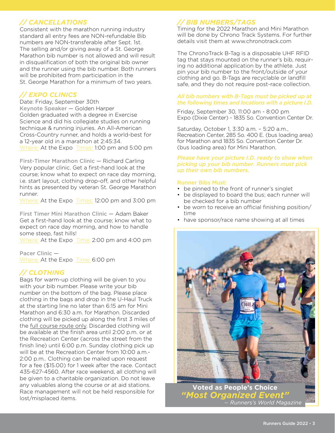### *// CANCELLATIONS*

Consistent with the marathon running industry standard all entry fees are NON-refundable Bib numbers are NON-transferable after Sept. 1st. The selling and/or giving away of a St. George Marathon bib number is not allowed and will result in disqualification of both the original bib owner and the runner using the bib number. Both runners will be prohibited from participation in the St. George Marathon for a minimum of two years.

### *// EXPO CLINICS*

Date: Friday, September 30th Keynote Speaker — Golden Harper Golden graduated with a degree in Exercise Science and did his collegiate studies on running technique & running injuries. An All-American Cross-Country runner, and holds a world-best for a 12-year old in a marathon at 2:45:34. Where: At the Expo Times: 1:00 pm and 5:00 pm

First-Timer Marathon Clinic — Richard Carling Very popular clinic. Get a first-hand look at the course; know what to expect on race day morning, i.e. start layout, clothing drop-off, and other helpful hints as presented by veteran St. George Marathon runner.

Where: At the Expo Times: 12:00 pm and 3:00 pm

First Timer Mini Marathon Clinic — Adam Baker Get a first-hand look at the course; know what to expect on race day morning, and how to handle some steep, fast hills!

Where: At the Expo Time: 2:00 pm and 4:00 pm

Pacer Clinic — Where: At the Expo Time: 6:00 pm

### *// CLOTHING*

Bags for warm-up clothing will be given to you with your bib number. Please write your bib number on the bottom of the bag. Please place clothing in the bags and drop in the U-Haul Truck at the starting line no later than 6:15 am for Mini Marathon and 6:30 a.m. for Marathon. Discarded clothing will be picked up along the first 3 miles of the full course route only. Discarded clothing will be available at the finish area until 2:00 p.m. or at the Recreation Center (across the street from the finish line) until 6:00 p.m. Sunday clothing pick up will be at the Recreation Center from 10:00 a.m.- 2:00 p.m.. Clothing can be mailed upon request for a fee (\$15.00) for 1 week after the race. Contact 435-627-4560. After race weekend, all clothing will be given to a charitable organization. Do not leave any valuables along the course or at aid stations. Race management will not be held responsible for lost/misplaced items.

### *// BIB NUMBERS/TAGS*

Timing for the 2022 Marathon and Mini Marathon will be done by Chrono Track Systems. For further details visit them at www.chronotrack.com

The ChronoTrack B-Tag is a disposable UHF RFID tag that stays mounted on the runner's bib, requiring no additional application by the athlete. Just pin your bib number to the front/outside of your clothing and go. B-Tags are recyclable or landfill safe, and they do not require post-race collection.

#### *All bib numbers with B-Tags must be picked up at the following times and locations with a picture I.D.*

Friday, September 30, 11:00 am - 8:00 pm Expo (Dixie Center) - 1835 So. Convention Center Dr.

Saturday, October 1, 3:30 a.m. – 5:20 a.m., Recreation Center, 285 So. 400 E. (bus loading area) for Marathon and 1835 So. Convention Center Dr. (bus loading area) for Mini Marathon.

#### *Please have your picture I.D. ready to show when picking up your bib number. Runners must pick up their own bib numbers.*

#### Runner Bibs Must:

- be pinned to the front of runner's singlet
- be displayed to board the bus; each runner will be checked for a bib number
- be worn to receive an official finishing position/ time
- have sponsor/race name showing at all times



Runners Guide 2022 - 3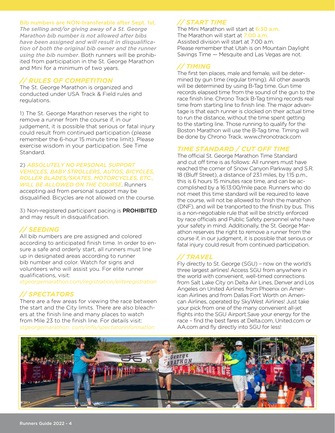#### Bib numbers are NON-transferable after Sept. 1st.

*The selling and/or giving away of a St. George Marathon bib number is not allowed after bibs have been assigned and will result in disqualification of both the original bib owner and the runner using the bib number*. Both runners will be prohibited from participation in the St. George Marathon and Mini for a minimum of two years.

#### *// RULES OF COMPETITION*

The St. George Marathon is organized and conducted under USA Track & Field rules and regulations.

1) The St. George Marathon reserves the right to remove a runner from the course if, in our judgement, it is possible that serious or fatal injury could result from continued participation (please remember the 6-hour 15 minute time limit). Please exercise wisdom in your participation. See Time Standard.

#### 2) *ABSOLUTELY NO PERSONAL SUPPORT VEHICLES, BABY STROLLERS, AUTOS, BICYCLES, ROLLER BLADES/SKATES, MOTORCYCLES, ETC., WILL BE ALLOWED ON THE COURSE*. Runners

accepting aid from personal support may be disqualified. Bicycles are not allowed on the course.

3) Non-registered participant pacing is PROHIBITED and may result in disqualification.

### *// SEEDING*

All bib numbers are pre assigned and colored according to anticipated finish time. In order to ensure a safe and orderly start, all runners must line up in designated areas according to runner bib number and color. Watch for signs and volunteers who will assist you. For elite runner qualifications, visit:

*stgeorgemarathon.com/registration/eliteregistration*

### *// SPECTATORS*

There are a few areas for viewing the race between the start and the City limits. There are also bleachers at the finish line and many places to watch from Mile 23 to the finish line. For details visit: *stgeorgemarathon. com/info/spectatorinformation*

### *// START TIME*

The Mini Marathon will start at 6:30 a.m. The Marathon will start at 7:00 a.m. Assisted division will start at 7:00 a.m. Please remember that Utah is on Mountain Daylight Savings Time — Mesquite and Las Vegas are not.

### *// TIMING*

The first ten places, male and female, will be determined by gun time (regular timing). All other awards will be determined by using B-Tag time. Gun time records elapsed time from the sound of the gun to the race finish line. Chrono Track B-Tag timing records real time from starting line to finish line. The major advantage is that each runner is clocked on their actual time to run the distance, without the time spent getting to the starting line. Those running to qualify for the Boston Marathon will use the B-Tag time. Timing will be done by Chrono Track. www.chronotrack.com

#### *TIME STANDARD / CUT OFF TIME*

The official St. George Marathon Time Standard and cut off time is as follows: All runners must have reached the corner of Snow Canyon Parkway and S.R. 18 (Bluff Street), a distance of 23.1 miles, by 1:15 p.m., this is 6 hours 15 minutes race time, and can be accomplished by a 16:13:00/mile pace. Runners who do not meet this time standard will be required to leave the course, will not be allowed to finish the marathon (DNF), and will be tranported to the finish by bus. This is a non-negotiable rule that will be strictly enforced by race officials and Public Safety personnel who have your safety in mind. Additionally, the St. George Marathon reserves the right to remove a runner from the course if, in our judgment, it is possible that serious or fatal injury could result from continued participation.

### *// TRAVEL*

Fly directly to St. George (SGU) – now on the world's three largest airlines! Access SGU from anywhere in the world with convenient, well-timed connections from Salt Lake City on Delta Air Lines, Denver and Los Angeles on United Airlines from Phoenix on American Airlines and from Dallas Fort Worth on American Airlines, operated by SkyWest Airlines! Just take your pick from one of the many convenient all-jet flights into the SGU Airport.Save your energy for the race – find the best fares at Delta.com, United.com or AA.com and fly directly into SGU for less!

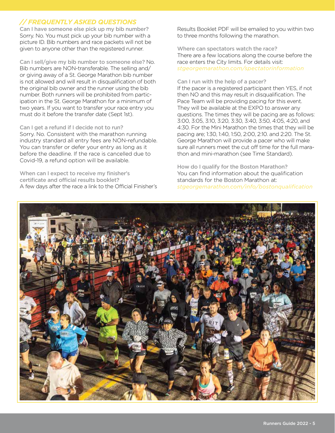### *// FREQUENTLY ASKED QUESTIONS*

Can I have someone else pick up my bib number? Sorry. No. You must pick up your bib number with a picture ID. Bib numbers and race packets will not be given to anyone other than the registered runner.

Can I sell/give my bib number to someone else? No. Bib numbers are NON-transferable. The selling and/ or giving away of a St. George Marathon bib number is not allowed and will result in disqualification of both the original bib owner and the runner using the bib number. Both runners will be prohibited from participation in the St. George Marathon for a minimum of two years. If you want to transfer your race entry you must do it before the transfer date (Sept 1st).

#### Can I get a refund if I decide not to run?

Sorry. No. Consistent with the marathon running industry standard all entry fees are NON-refundable. You can transfer or defer your entry as long as it before the deadline. If the race is cancelled due to Covid-19, a refund option will be available.

When can I expect to receive my finisher's certificate and official results booklet? A few days after the race a link to the Official Finisher's Results Booklet PDF will be emailed to you within two to three months following the marathon.

Where can spectators watch the race? There are a few locations along the course before the race enters the City limits. For details visit: *stgeorgemarathon.com/spectatorinformation*

#### Can I run with the help of a pacer?

If the pacer is a registered participant then YES, if not then NO and this may result in disqualification. The Pace Team will be providing pacing for this event. They will be available at the EXPO to answer any questions. The times they will be pacing are as follows: 3:00, 3:05, 3:10, 3:20, 3:30, 3:40, 3:50, 4:05, 4:20, and 4:30. For the Mini Marathon the times that they will be pacing are; 1:30, 1:40, 1:50, 2:00, 2:10. and 2:20. The St. George Marathon will provide a pacer who will make sure all runners meet the cut off time for the full marathon and mini-marathon (see Time Standard).

How do I qualify for the Boston Marathon? You can find information about the qualification standards for the Boston Marathon at: *stgeorgemarathon.com/info/bostonqualification*

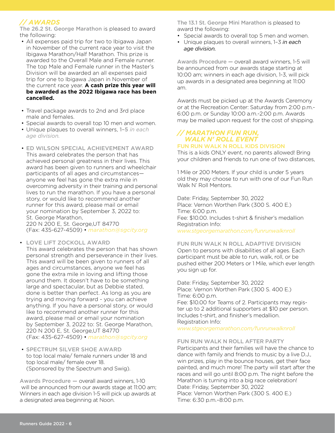### *// AWARDS*

The 26.2 St. George Marathon is pleased to award the following:

- All expenses paid trip for two to Ibigawa Japan in November of the current race year to visit the Ibigawa Marathon/Half Marathon. This prize is awarded to the Overall Male and Female runner. The top Male and Female runner in the Master's Division will be awarded an all expenses paid trip for one to Ibigawa Japan in November of the current race year. **A cash prize this year will be awarded as the 2022 Ibigawa race has been cancelled.**
- Travel package awards to 2nd and 3rd place male and females.
- Special awards to overall top 10 men and women.
- Unique plaques to overall winners, 1–5 *in each age division.*
- ED WILSON SPECIAL ACHIEVEMENT AWARD This award celebrates the person that has achieved personal greatness in their lives. This award has been given to runners and wheelchair participants of all ages and circumstances anyone we feel has gone the extra mile in overcoming adversity in their training and personal lives to run the marathon. If you have a personal story, or would like to recommend another runner for this award, please mail or email your nomination by September 3, 2022 to: St. George Marathon, 220 N 200 E, St. George,UT 84770

(Fax: 435-627-4509) • *marathon@sgcity.org*

#### • LOVE LIFT ZOCKOLL AWARD

This award celebrates the person that has shown personal strength and perseverance in their lives. This award will be been given to runners of all ages and circumstances, anyone we feel has gone the extra mile in loving and lifting those around them. It doesn't have to be something large and spectacular, but as Debbie stated, done is better than perfect. As long as you are trying and moving forward - you can achieve anything. If you have a personal story, or would like to recommend another runner for this award, please mail or email your nomination by September 3, 2022 to: St. George Marathon, 220 N 200 E, St. George,UT 84770 (Fax: 435-627-4509) • *marathon@sgcity.org*

 • SPECTRUM SILVER SHOE AWARD to top local male/ female runners under 18 and top local male/ female over 18. (Sponsored by the Spectrum and Swig).

Awards Procedure — overall award winners, 1-10 will be announced from our awards stage at 11:00 am; Winners in each age division 1-5 will pick up awards at a designated area beginning at Noon.

The 13.1 St. George Mini Marathon is pleased to award the following:

- Special awards to overall top 5 men and women.
- Unique plaques to overall winners, 1–3 *in each age division.*

Awards Procedure — overall award winners, 1-5 will be announced from our awards stage starting at 10:00 am; winners in each age division, 1-3, will pick up awards in a designated area beginning at 11:00 am.

Awards must be picked up at the Awards Ceremony or at the Recreation Center: Saturday from 2:00 p.m.- 6:00 p.m. or Sunday 10:00 a.m.-2:00 p.m. Awards may be mailed upon request for the cost of shipping.

#### *// MARATHON FUN RUN, WALK N' ROLL EVENT* FUN RUN WALK N ROLL KIDS DIVISION

This is a kids ONLY event, no parents allowed! Bring your children and friends to run one of two distances,

1 Mile or 200 Meters. If your child is under 5 years old they may choose to run with one of our Fun Run Walk N' Roll Mentors.

Date: Friday, September 30, 2022 Place: Vernon Worthen Park (300 S. 400 E.) Time: 6:00 p.m. Fee: \$10.00. Includes t-shirt & finisher's medallion Registration Info: *www.stgeorgemarathon.com/funrunwalknroll*

#### FUN RUN WALK N ROLL ADAPTIVE DIVISION Open to persons with disabilities of all ages. Each participant must be able to run, walk, roll, or be pushed either 200 Meters or 1 Mile, which ever length you sign up for.

Date: Friday, September 30, 2022 Place: Vernon Worthen Park (300 S. 400 E.) Time: 6:00 p.m. Fee: \$10.00 for Teams of 2. Participants may register up to 2 additional supporters at \$10 per person. Includes t-shirt, and finisher's medallion. Registration Info:

*www.stgeorgemarathon.com/funrunwalknroll*

#### FUN RUN WALK N ROLL AFTER PARTY

Participants and their families will have the chance to dance with family and friends to music by a live D.J., win prizes, play in the bounce houses, get their face painted, and much more! The party will start after the races and will go until 8:00 p.m. The night before the Marathon is turning into a big race celebration! Date: Friday, September 30, 2022 Place: Vernon Worthen Park (300 S. 400 E.) Time: 6:30 p.m.–8:00 p.m.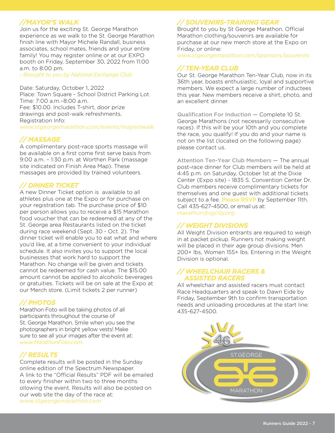### *//MAYOR'S WALK*

Join us for the exciting St. George Marathon experience as we walk to the St. George Marathon finish line with Mayor Michele Randall, business associates, school mates, friends and your entire family! You may register online or at our EXPO booth on Friday, September 30, 2022 from 11:00 a.m. to 8:00 pm.

*- Brought to you by National Exchange Club*

Date: Saturday, October 1, 2022 Place: Town Square - School District Parking Lot Time: 7:00 a.m.–8:00 a.m. Fee: \$10.00. Includes T-shirt, door prize drawings and post-walk refreshments. Registration Info: *www.stgeorgemarathon.com/events/mayorswalk*

### *// MASSAGE*

A complimentary post-race sports massage will be available on a first come first serve basis from 9:00 a.m. – 1:30 p.m. at Worthen Park (massage site indicated on Finish Area Map). These massages are provided by trained volunteers.

### *// DINNER TICKET*

A new Dinner Ticket option is available to all athletes plus one at the Expo or for purchase on your registration tab. The purchase price of \$10 per person allows you to receive a \$15 Marathon food voucher that can be redeemed at any of the St. George area Restaurants listed on the ticket during race weekend (Sept. 30 - Oct. 2). The dinner ticket will enable you to eat what and where you'd like, at a time convenient to your individual schedule. It also invites you to support the local businesses that work hard to support the Marathon. No change will be given and tickets cannot be redeemed for cash value. The \$15.00 amount cannot be applied to alcoholic beverages or gratuities. Tickets will be on sale at the Expo at our Merch store. (Limit tickets 2 per runner)

### *// PHOTOS*

Marathon Foto will be taking photos of all participants throughout the course of St. George Marathon. Smile when you see the photographers in bright yellow vests! Make sure to see all your images after the event at: *www.MarathonFoto.com.*

### *// RESULTS*

Complete results will be posted in the Sunday online edition of the Spectrum Newspaper. A link to the "Official Results" PDF will be emailed to every finisher within two to three months ollowing the event. Results will also be posted on our web site the day of the race at: *www.stgeorgemarathon.com*

### *// SOUVENIRS-TRAINING GEAR*

Brought to you by St George Marathon. Official Marathon clothing/souvenirs are available for purchase at our new merch store at the Expo on Friday, or online:

*www.stgeorgemarathon.com/sponsors/souvenirs*

### *// TEN-YEAR CLUB*

Our St. George Marathon Ten-Year Club, now in its 36th year, boasts enthusiastic, loyal and supportive members. We expect a large number of inductees this year. New members receive a shirt, photo, and an excellent dinner.

Qualification For Induction — Complete 10 St. George Marathons (not necessarily consecutive races). If this will be your 10th and you complete the race, you qualify! If you do and your name is not on the list (located on the following page) please contact us.

Attention Ten-Year Club Members — The annual post-race dinner for Club members will be held at 4:45 p.m. on Saturday, October 1st at the Dixie Center (Expo site) - 1835 S. Convention Center Dr. Club members receive complimentary tickets for themselves and one guest with additional tickets subject to a fee. Please RSVP by September 11th. Call 435-627-4500, or email us at: *marathon@sgcity.org*

### *// WEIGHT DIVISIONS*

All Weight Division entrants are required to weigh in at packet pickup. Runners not making weight will be placed in their age group divisions. Men 200+ lbs, Women 155+ lbs. Entering in the Weight Division is optional.

#### *// WHEELCHAIR RACERS & ASSISTED RACERS*

All wheelchair and assisted racers must contact Race Headquarters and speak to Dawn Eide by Friday, September 9th to confirm transportation needs and unloading procedures at the start line: 435-627-4500.